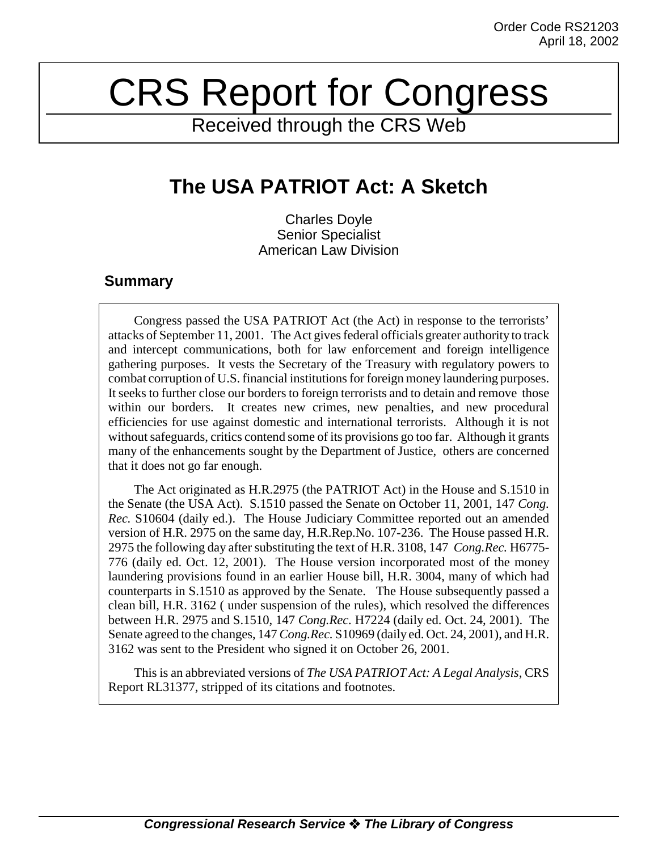# CRS Report for Congress

Received through the CRS Web

# **The USA PATRIOT Act: A Sketch**

Charles Doyle Senior Specialist American Law Division

## **Summary**

Congress passed the USA PATRIOT Act (the Act) in response to the terrorists' attacks of September 11, 2001. The Act gives federal officials greater authority to track and intercept communications, both for law enforcement and foreign intelligence gathering purposes. It vests the Secretary of the Treasury with regulatory powers to combat corruption of U.S. financial institutions for foreign money laundering purposes. It seeks to further close our borders to foreign terrorists and to detain and remove those within our borders. It creates new crimes, new penalties, and new procedural efficiencies for use against domestic and international terrorists. Although it is not without safeguards, critics contend some of its provisions go too far. Although it grants many of the enhancements sought by the Department of Justice, others are concerned that it does not go far enough.

The Act originated as H.R.2975 (the PATRIOT Act) in the House and S.1510 in the Senate (the USA Act). S.1510 passed the Senate on October 11, 2001, 147 *Cong. Rec.* S10604 (daily ed.). The House Judiciary Committee reported out an amended version of H.R. 2975 on the same day, H.R.Rep.No. 107-236. The House passed H.R. 2975 the following day after substituting the text of H.R. 3108, 147 *Cong.Rec.* H6775- 776 (daily ed. Oct. 12, 2001). The House version incorporated most of the money laundering provisions found in an earlier House bill, H.R. 3004, many of which had counterparts in S.1510 as approved by the Senate. The House subsequently passed a clean bill, H.R. 3162 ( under suspension of the rules), which resolved the differences between H.R. 2975 and S.1510, 147 *Cong.Rec.* H7224 (daily ed. Oct. 24, 2001). The Senate agreed to the changes, 147 *Cong.Rec.* S10969 (daily ed. Oct. 24, 2001), and H.R. 3162 was sent to the President who signed it on October 26, 2001.

This is an abbreviated versions of *The USA PATRIOT Act: A Legal Analysis*, CRS Report RL31377, stripped of its citations and footnotes.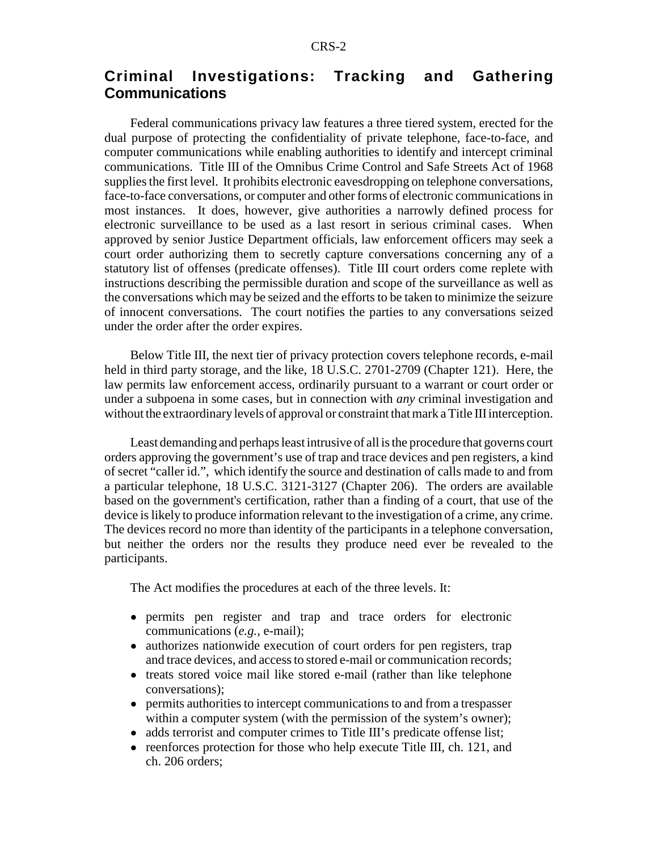## **Criminal Investigations: Tracking and Gathering Communications**

Federal communications privacy law features a three tiered system, erected for the dual purpose of protecting the confidentiality of private telephone, face-to-face, and computer communications while enabling authorities to identify and intercept criminal communications. Title III of the Omnibus Crime Control and Safe Streets Act of 1968 supplies the first level. It prohibits electronic eavesdropping on telephone conversations, face-to-face conversations, or computer and other forms of electronic communications in most instances. It does, however, give authorities a narrowly defined process for electronic surveillance to be used as a last resort in serious criminal cases. When approved by senior Justice Department officials, law enforcement officers may seek a court order authorizing them to secretly capture conversations concerning any of a statutory list of offenses (predicate offenses). Title III court orders come replete with instructions describing the permissible duration and scope of the surveillance as well as the conversations which may be seized and the efforts to be taken to minimize the seizure of innocent conversations. The court notifies the parties to any conversations seized under the order after the order expires.

Below Title III, the next tier of privacy protection covers telephone records, e-mail held in third party storage, and the like, 18 U.S.C. 2701-2709 (Chapter 121). Here, the law permits law enforcement access, ordinarily pursuant to a warrant or court order or under a subpoena in some cases, but in connection with *any* criminal investigation and without the extraordinary levels of approval or constraint that mark a Title III interception.

Least demanding and perhaps least intrusive of all is the procedure that governs court orders approving the government's use of trap and trace devices and pen registers, a kind of secret "caller id.", which identify the source and destination of calls made to and from a particular telephone, 18 U.S.C. 3121-3127 (Chapter 206). The orders are available based on the government's certification, rather than a finding of a court, that use of the device is likely to produce information relevant to the investigation of a crime, any crime. The devices record no more than identity of the participants in a telephone conversation, but neither the orders nor the results they produce need ever be revealed to the participants.

The Act modifies the procedures at each of the three levels. It:

- ! permits pen register and trap and trace orders for electronic communications (*e.g.*, e-mail);
- authorizes nationwide execution of court orders for pen registers, trap and trace devices, and access to stored e-mail or communication records;
- treats stored voice mail like stored e-mail (rather than like telephone conversations);
- ! permits authorities to intercept communications to and from a trespasser within a computer system (with the permission of the system's owner);
- ! adds terrorist and computer crimes to Title III's predicate offense list;
- reenforces protection for those who help execute Title III, ch. 121, and ch. 206 orders;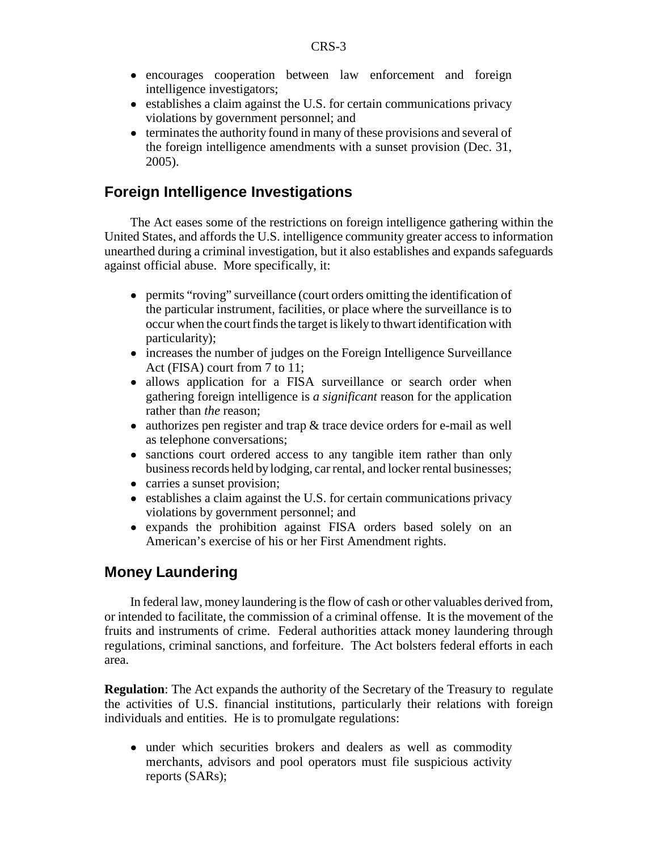- encourages cooperation between law enforcement and foreign intelligence investigators;
- establishes a claim against the U.S. for certain communications privacy violations by government personnel; and
- terminates the authority found in many of these provisions and several of the foreign intelligence amendments with a sunset provision (Dec. 31, 2005).

# **Foreign Intelligence Investigations**

The Act eases some of the restrictions on foreign intelligence gathering within the United States, and affords the U.S. intelligence community greater access to information unearthed during a criminal investigation, but it also establishes and expands safeguards against official abuse. More specifically, it:

- permits "roving" surveillance (court orders omitting the identification of the particular instrument, facilities, or place where the surveillance is to occur when the court finds the target is likely to thwart identification with particularity);
- increases the number of judges on the Foreign Intelligence Surveillance Act (FISA) court from 7 to 11;
- allows application for a FISA surveillance or search order when gathering foreign intelligence is *a significant* reason for the application rather than *the* reason;
- $\bullet$  authorizes pen register and trap  $\&$  trace device orders for e-mail as well as telephone conversations;
- sanctions court ordered access to any tangible item rather than only business records held by lodging, car rental, and locker rental businesses;
- carries a sunset provision;
- establishes a claim against the U.S. for certain communications privacy violations by government personnel; and
- expands the prohibition against FISA orders based solely on an American's exercise of his or her First Amendment rights.

# **Money Laundering**

In federal law, money laundering is the flow of cash or other valuables derived from, or intended to facilitate, the commission of a criminal offense. It is the movement of the fruits and instruments of crime. Federal authorities attack money laundering through regulations, criminal sanctions, and forfeiture. The Act bolsters federal efforts in each area.

**Regulation**: The Act expands the authority of the Secretary of the Treasury to regulate the activities of U.S. financial institutions, particularly their relations with foreign individuals and entities. He is to promulgate regulations:

! under which securities brokers and dealers as well as commodity merchants, advisors and pool operators must file suspicious activity reports (SARs);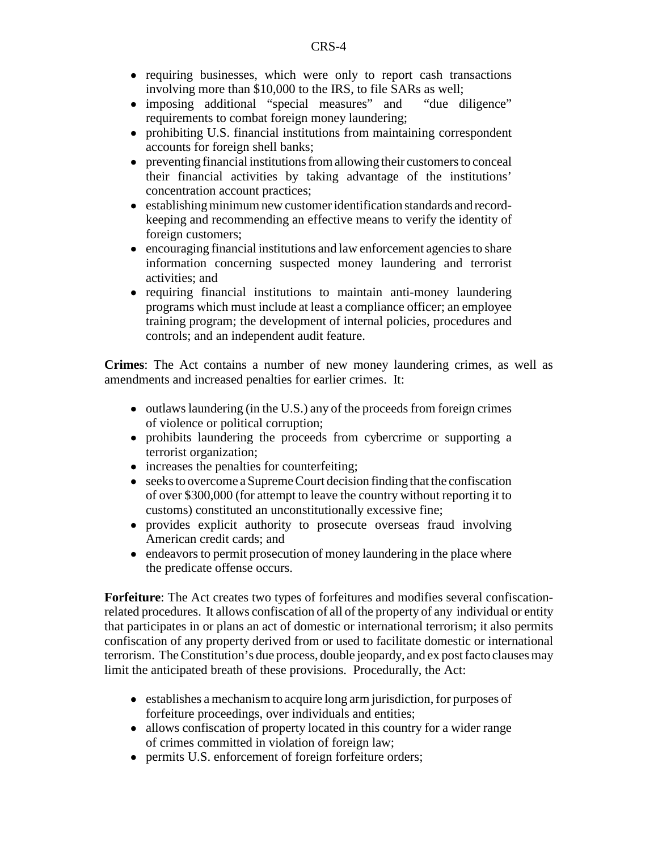- requiring businesses, which were only to report cash transactions involving more than \$10,000 to the IRS, to file SARs as well;
- imposing additional "special measures" and "due diligence" requirements to combat foreign money laundering;
- prohibiting U.S. financial institutions from maintaining correspondent accounts for foreign shell banks;
- ! preventing financial institutions from allowing their customers to conceal their financial activities by taking advantage of the institutions' concentration account practices;
- establishing minimum new customer identification standards and recordkeeping and recommending an effective means to verify the identity of foreign customers;
- encouraging financial institutions and law enforcement agencies to share information concerning suspected money laundering and terrorist activities; and
- requiring financial institutions to maintain anti-money laundering programs which must include at least a compliance officer; an employee training program; the development of internal policies, procedures and controls; and an independent audit feature.

**Crimes**: The Act contains a number of new money laundering crimes, as well as amendments and increased penalties for earlier crimes. It:

- outlaws laundering (in the U.S.) any of the proceeds from foreign crimes of violence or political corruption;
- ! prohibits laundering the proceeds from cybercrime or supporting a terrorist organization;
- increases the penalties for counterfeiting;
- seeks to overcome a Supreme Court decision finding that the confiscation of over \$300,000 (for attempt to leave the country without reporting it to customs) constituted an unconstitutionally excessive fine;
- ! provides explicit authority to prosecute overseas fraud involving American credit cards; and
- endeavors to permit prosecution of money laundering in the place where the predicate offense occurs.

**Forfeiture**: The Act creates two types of forfeitures and modifies several confiscationrelated procedures. It allows confiscation of all of the property of any individual or entity that participates in or plans an act of domestic or international terrorism; it also permits confiscation of any property derived from or used to facilitate domestic or international terrorism. The Constitution's due process, double jeopardy, and ex post facto clauses may limit the anticipated breath of these provisions. Procedurally, the Act:

- establishes a mechanism to acquire long arm jurisdiction, for purposes of forfeiture proceedings, over individuals and entities;
- allows confiscation of property located in this country for a wider range of crimes committed in violation of foreign law;
- permits U.S. enforcement of foreign forfeiture orders;